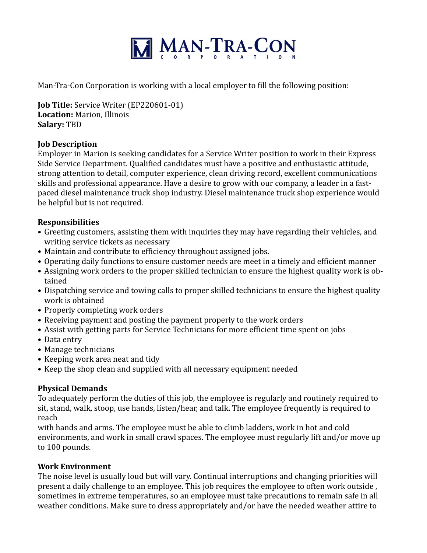

Man-Tra-Con Corporation is working with a local employer to fill the following position:

**Job Title:** Service Writer (EP220601-01) **Location:** Marion, Illinois **Salary:** TBD

## **Job Description**

Employer in Marion is seeking candidates for a Service Writer position to work in their Express Side Service Department. Qualified candidates must have a positive and enthusiastic attitude, strong attention to detail, computer experience, clean driving record, excellent communications skills and professional appearance. Have a desire to grow with our company, a leader in a fastpaced diesel maintenance truck shop industry. Diesel maintenance truck shop experience would be helpful but is not required.

#### **Responsibilities**

- Greeting customers, assisting them with inquiries they may have regarding their vehicles, and writing service tickets as necessary
- Maintain and contribute to efficiency throughout assigned jobs.
- Operating daily functions to ensure customer needs are meet in a timely and efficient manner
- Assigning work orders to the proper skilled technician to ensure the highest quality work is obtained
- Dispatching service and towing calls to proper skilled technicians to ensure the highest quality work is obtained
- Properly completing work orders
- Receiving payment and posting the payment properly to the work orders
- Assist with getting parts for Service Technicians for more efficient time spent on jobs
- Data entry
- Manage technicians
- Keeping work area neat and tidy
- Keep the shop clean and supplied with all necessary equipment needed

## **Physical Demands**

To adequately perform the duties of this job, the employee is regularly and routinely required to sit, stand, walk, stoop, use hands, listen/hear, and talk. The employee frequently is required to reach

with hands and arms. The employee must be able to climb ladders, work in hot and cold environments, and work in small crawl spaces. The employee must regularly lift and/or move up to 100 pounds.

## **Work Environment**

The noise level is usually loud but will vary. Continual interruptions and changing priorities will present a daily challenge to an employee. This job requires the employee to often work outside, sometimes in extreme temperatures, so an employee must take precautions to remain safe in all weather conditions. Make sure to dress appropriately and/or have the needed weather attire to